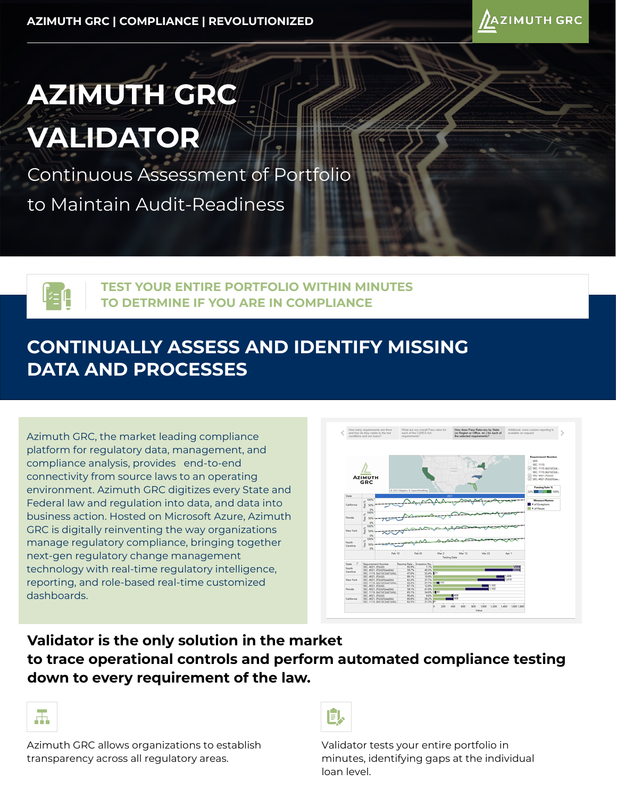

# **AZIMUTH GRC VALIDATOR**

Continuous Assessment of Portfolio to Maintain Audit-Readiness



**TEST YOUR ENTIRE PORTFOLIO WITHIN MINUTES TO DETRMINE IF YOU ARE IN COMPLIANCE**

## **CONTINUALLY ASSESS AND IDENTIFY MISSING DATA AND PROCESSES**

Azimuth GRC, the market leading compliance platform for regulatory data, management, and compliance analysis, provides end-to-end connectivity from source laws to an operating environment. Azimuth GRC digitizes every State and Federal law and regulation into data, and data into business action. Hosted on Microsoft Azure, Azimuth GRC is digitally reinventing the way organizations manage regulatory compliance, bringing together next-gen regulatory change management technology with real-time regulatory intelligence, reporting, and role-based real-time customized dashboards.



### **Validator is the only solution in the market to trace operational controls and perform automated compliance testing down to every requirement of the law.**



Azimuth GRC allows organizations to establish transparency across all regulatory areas.



Validator tests your entire portfolio in minutes, identifying gaps at the individual loan level.